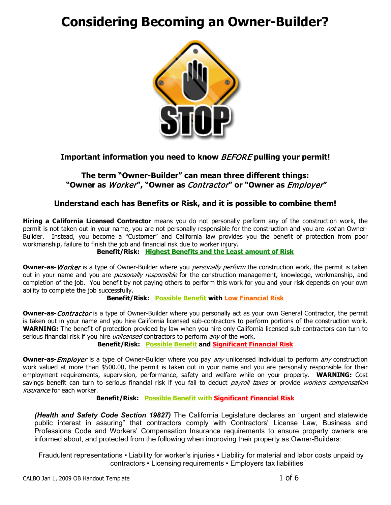# **Considering Becoming an Owner-Builder?**



# **Important information you need to know** BEFORE **pulling your permit!**

## **The term "Owner-Builder" can mean three different things: "Owner as** Worker**", "Owner as** Contractor**" or "Owner as** Employer**"**

## **Understand each has Benefits or Risk, and it is possible to combine them!**

**Hiring a California Licensed Contractor** means you do not personally perform any of the construction work, the permit is not taken out in your name, you are not personally responsible for the construction and you are not an Owner-Builder. Instead, you become a "Customer" and California law provides you the benefit of protection from poor workmanship, failure to finish the job and financial risk due to worker injury.

**Benefit/Risk: Highest Benefits and the Least amount of Risk**

**Owner-as-** Worker is a type of Owner-Builder where you *personally perform* the construction work, the permit is taken out in your name and you are *personally responsible* for the construction management, knowledge, workmanship, and completion of the job. You benefit by not paying others to perform this work for you and your risk depends on your own ability to complete the job successfully.

#### **Benefit/Risk: Possible Benefit with Low Financial Risk**

**Owner-as-**Contractor is a type of Owner-Builder where you personally act as your own General Contractor, the permit is taken out in your name and you hire California licensed sub-contractors to perform portions of the construction work. **WARNING:** The benefit of protection provided by law when you hire only California licensed sub-contractors can turn to serious financial risk if you hire *unlicensed* contractors to perform *any* of the work.

**Benefit/Risk: Possible Benefit and Significant Financial Risk**

**Owner-as-***Employer* is a type of Owner-Builder where you pay *any* unlicensed individual to perform *any* construction work valued at more than \$500.00, the permit is taken out in your name and you are personally responsible for their employment requirements, supervision, performance, safety and welfare while on your property. **WARNING:** Cost savings benefit can turn to serious financial risk if you fail to deduct payroll taxes or provide workers compensation insurance for each worker.

#### **Benefit/Risk: Possible Benefit with Significant Financial Risk**

*(Health and Safety Code Section 19827)* The California Legislature declares an "urgent and statewide public interest in assuring" that contractors comply with Contractors' License Law, Business and Professions Code and Workers' Compensation Insurance requirements to ensure property owners are informed about, and protected from the following when improving their property as Owner-Builders:

Fraudulent representations • Liability for worker's injuries • Liability for material and labor costs unpaid by contractors ▪ Licensing requirements ▪ Employers tax liabilities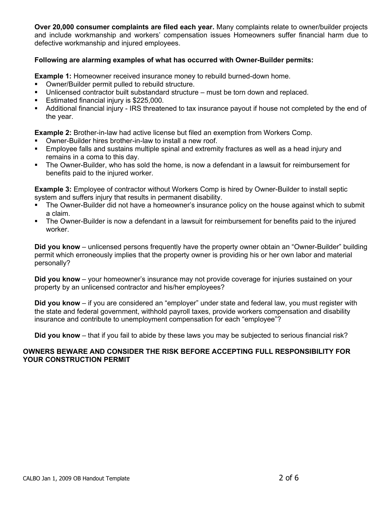**Over 20,000 consumer complaints are filed each year.** Many complaints relate to owner/builder projects and include workmanship and workers' compensation issues Homeowners suffer financial harm due to defective workmanship and injured employees.

#### **Following are alarming examples of what has occurred with Owner-Builder permits:**

**Example 1:** Homeowner received insurance money to rebuild burned-down home.

- Owner/Builder permit pulled to rebuild structure.
- Unlicensed contractor built substandard structure must be torn down and replaced.
- **Estimated financial injury is \$225,000.**
- Additional financial injury IRS threatened to tax insurance payout if house not completed by the end of the year.

**Example 2:** Brother-in-law had active license but filed an exemption from Workers Comp.

- Owner-Builder hires brother-in-law to install a new roof.
- Employee falls and sustains multiple spinal and extremity fractures as well as a head injury and remains in a coma to this day.
- The Owner-Builder, who has sold the home, is now a defendant in a lawsuit for reimbursement for benefits paid to the injured worker.

**Example 3:** Employee of contractor without Workers Comp is hired by Owner-Builder to install septic system and suffers injury that results in permanent disability.

- The Owner-Builder did not have a homeowner's insurance policy on the house against which to submit a claim.
- The Owner-Builder is now a defendant in a lawsuit for reimbursement for benefits paid to the injured worker.

**Did you know** – unlicensed persons frequently have the property owner obtain an "Owner-Builder" building permit which erroneously implies that the property owner is providing his or her own labor and material personally?

**Did you know** – your homeowner's insurance may not provide coverage for injuries sustained on your property by an unlicensed contractor and his/her employees?

**Did you know** – if you are considered an "employer" under state and federal law, you must register with the state and federal government, withhold payroll taxes, provide workers compensation and disability insurance and contribute to unemployment compensation for each "employee"?

**Did you know** – that if you fail to abide by these laws you may be subjected to serious financial risk?

#### **OWNERS BEWARE AND CONSIDER THE RISK BEFORE ACCEPTING FULL RESPONSIBILITY FOR YOUR CONSTRUCTION PERMIT**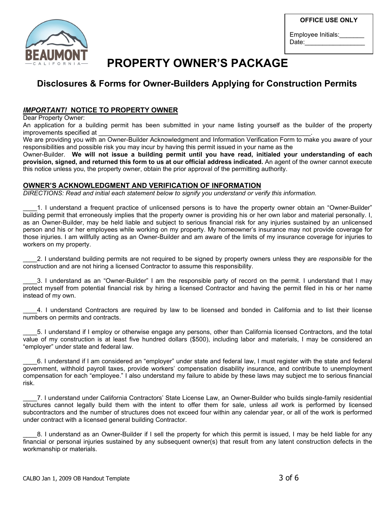

Employee Initials:

Date:

# **PROPERTY OWNER'S PACKAGE**

# **Disclosures & Forms for Owner-Builders Applying for Construction Permits**

### *IMPORTANT!* **NOTICE TO PROPERTY OWNER**

Dear Property Owner:

An application for a building permit has been submitted in your name listing yourself as the builder of the property improvements specified at

We are providing you with an Owner-Builder Acknowledgment and Information Verification Form to make you aware of your responsibilities and possible risk you may incur by having this permit issued in your name as the

Owner-Builder. **We will not issue a building permit until you have read, initialed your understanding of each provision, signed, and returned this form to us at our official address indicated.** An agent of the owner cannot execute this notice unless you, the property owner, obtain the prior approval of the permitting authority.

#### **OWNER'S ACKNOWLEDGMENT AND VERIFICATION OF INFORMATION**

*DIRECTIONS: Read and initial each statement below to signify you understand or verify this information.*

\_\_\_\_1. I understand a frequent practice of unlicensed persons is to have the property owner obtain an "Owner-Builder" building permit that erroneously implies that the property owner is providing his or her own labor and material personally. I, as an Owner-Builder, may be held liable and subject to serious financial risk for any injuries sustained by an unlicensed person and his or her employees while working on my property. My homeowner's insurance may not provide coverage for those injuries. I am willfully acting as an Owner-Builder and am aware of the limits of my insurance coverage for injuries to workers on my property.

\_\_\_\_2. I understand building permits are not required to be signed by property owners unless they are *responsible* for the construction and are not hiring a licensed Contractor to assume this responsibility.

\_\_\_\_3. I understand as an "Owner-Builder" I am the responsible party of record on the permit. I understand that I may protect myself from potential financial risk by hiring a licensed Contractor and having the permit filed in his or her name instead of my own.

\_\_\_\_4. I understand Contractors are required by law to be licensed and bonded in California and to list their license numbers on permits and contracts.

\_\_\_\_5. I understand if I employ or otherwise engage any persons, other than California licensed Contractors, and the total value of my construction is at least five hundred dollars (\$500), including labor and materials, I may be considered an "employer" under state and federal law.

\_\_\_\_6. I understand if I am considered an "employer" under state and federal law, I must register with the state and federal government, withhold payroll taxes, provide workers' compensation disability insurance, and contribute to unemployment compensation for each "employee." I also understand my failure to abide by these laws may subject me to serious financial risk.

\_\_\_\_7. I understand under California Contractors' State License Law, an Owner-Builder who builds single-family residential structures cannot legally build them with the intent to offer them for sale, unless *all* work is performed by licensed subcontractors and the number of structures does not exceed four within any calendar year, or all of the work is performed under contract with a licensed general building Contractor.

8. I understand as an Owner-Builder if I sell the property for which this permit is issued, I may be held liable for any financial or personal injuries sustained by any subsequent owner(s) that result from any latent construction defects in the workmanship or materials.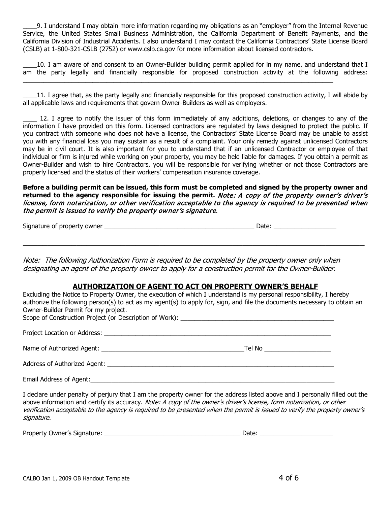\_\_\_\_9. I understand I may obtain more information regarding my obligations as an "employer" from the Internal Revenue Service, the United States Small Business Administration, the California Department of Benefit Payments, and the California Division of Industrial Accidents. I also understand I may contact the California Contractors' State License Board (CSLB) at 1-800-321-CSLB (2752) or www.cslb.ca.gov for more information about licensed contractors.

10. I am aware of and consent to an Owner-Builder building permit applied for in my name, and understand that I am the party legally and financially responsible for proposed construction activity at the following address:

\_\_\_\_\_\_\_\_\_\_\_\_\_\_\_\_\_\_\_\_\_\_\_\_\_\_\_\_\_\_\_\_\_\_\_\_\_\_\_\_\_\_\_\_\_\_\_\_\_\_\_\_\_\_\_\_\_\_\_\_\_\_\_\_\_\_\_\_\_\_\_\_\_\_\_\_\_\_\_\_\_\_\_\_\_\_\_\_\_

\_\_\_\_11. I agree that, as the party legally and financially responsible for this proposed construction activity, I will abide by all applicable laws and requirements that govern Owner-Builders as well as employers.

\_\_\_\_ 12. I agree to notify the issuer of this form immediately of any additions, deletions, or changes to any of the information I have provided on this form. Licensed contractors are regulated by laws designed to protect the public. If you contract with someone who does not have a license, the Contractors' State License Board may be unable to assist you with any financial loss you may sustain as a result of a complaint. Your only remedy against unlicensed Contractors may be in civil court. It is also important for you to understand that if an unlicensed Contractor or employee of that individual or firm is injured while working on your property, you may be held liable for damages. If you obtain a permit as Owner-Builder and wish to hire Contractors, you will be responsible for verifying whether or not those Contractors are properly licensed and the status of their workers' compensation insurance coverage.

**Before a building permit can be issued, this form must be completed and signed by the property owner and returned to the agency responsible for issuing the permit.** Note: A copy of the property owner's driver's license, form notarization, or other verification acceptable to the agency is required to be presented when the permit is issued to verify the property owner's signature.

Signature of property owner \_\_\_\_\_\_\_\_\_\_\_\_\_\_\_\_\_\_\_\_\_\_\_\_\_\_\_\_\_\_\_\_\_\_\_\_\_\_\_\_\_\_\_ Date: \_\_\_\_\_\_\_\_\_\_\_\_\_\_\_\_\_\_

Note: The following Authorization Form is required to be completed by the property owner only when designating an agent of the property owner to apply for a construction permit for the Owner-Builder.

#### **AUTHORIZATION OF AGENT TO ACT ON PROPERTY OWNER'S BEHALF**

**\_\_\_\_\_\_\_\_\_\_\_\_\_\_\_\_\_\_\_\_\_\_\_\_\_\_\_\_\_\_\_\_\_\_\_\_\_\_\_\_\_\_\_\_\_\_\_\_\_\_\_\_\_\_\_\_\_\_\_\_\_\_\_\_\_\_\_\_\_\_**

| Excluding the Notice to Property Owner, the execution of which I understand is my personal responsibility, I hereby<br>authorize the following person(s) to act as my agent(s) to apply for, sign, and file the documents necessary to obtain an<br>Owner-Builder Permit for my project. |  |
|------------------------------------------------------------------------------------------------------------------------------------------------------------------------------------------------------------------------------------------------------------------------------------------|--|
|                                                                                                                                                                                                                                                                                          |  |
|                                                                                                                                                                                                                                                                                          |  |
| Address of Authorized Agent: North States and States and States and States and States and States and States and States and States and States and States and States and States and States and States and States and States and                                                            |  |
|                                                                                                                                                                                                                                                                                          |  |

I declare under penalty of perjury that I am the property owner for the address listed above and I personally filled out the above information and certify its accuracy. Note: A copy of the owner's driver's license, form notarization, or other verification acceptable to the agency is required to be presented when the permit is issued to verify the property owner's signature.

Property Owner's Signature: <br>
and the state of the state of the state of the state of the state of the state of the state of the state of the state of the state of the state of the state of the state of the state of the st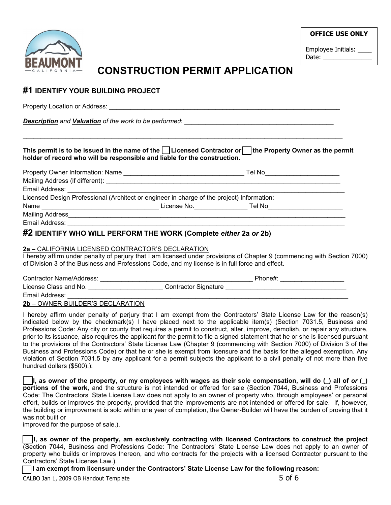

Employee Initials: \_\_\_\_ Date:

# **CONSTRUCTION PERMIT APPLICATION**

### **#1 IDENTIFY YOUR BUILDING PROJECT**

Property Location or Address:

*Description and Valuation of the work to be performed*: \_\_\_\_\_\_\_\_\_\_\_\_\_\_\_\_\_\_\_\_\_\_\_\_\_\_\_\_\_\_\_\_\_\_\_\_\_\_\_\_\_\_

This permit is to be issued in the name of the  $\Box$  Licensed Contractor or  $\Box$  the Property Owner as the permit **holder of record who will be responsible and liable for the construction.**

\_\_\_\_\_\_\_\_\_\_\_\_\_\_\_\_\_\_\_\_\_\_\_\_\_\_\_\_\_\_\_\_\_\_\_\_\_\_\_\_\_\_\_\_\_\_\_\_\_\_\_\_\_\_\_\_\_\_\_\_\_\_\_\_\_\_\_\_\_\_\_\_\_\_\_\_\_\_\_\_\_\_\_\_\_\_\_\_\_\_

| <b>Property Owner Information: Name</b>                                                    |                                   | Tel No |  |
|--------------------------------------------------------------------------------------------|-----------------------------------|--------|--|
| Mailing Address (if different): National Mailing Address (if different):                   |                                   |        |  |
|                                                                                            |                                   |        |  |
| Licensed Design Professional (Architect or engineer in charge of the project) Information: |                                   |        |  |
| Name                                                                                       | License No. <u>______________</u> | Tel No |  |
| <b>Mailing Address</b>                                                                     |                                   |        |  |
| Email Address:                                                                             |                                   |        |  |

#### **#2 IDENTIFY WHO WILL PERFORM THE WORK (Complete** *either* **2a** *or* **2b)**

#### **2a –** CALIFORNIA LICENSED CONTRACTOR'S DECLARATION

I hereby affirm under penalty of perjury that I am licensed under provisions of Chapter 9 (commencing with Section 7000) of Division 3 of the Business and Professions Code, and my license is in full force and effect.

| Contractor Name/Address:    |                      | Phone#: |
|-----------------------------|----------------------|---------|
| License Class and No.       | Contractor Signature |         |
| Email Address:              |                      |         |
| $\mathbf{A}$ . $\mathbf{A}$ |                      |         |

**2b –** OWNER-BUILDER'S DECLARATION

I hereby affirm under penalty of perjury that I am exempt from the Contractors' State License Law for the reason(s) indicated below by the checkmark(s) I have placed next to the applicable item(s) (Section 7031.5, Business and Professions Code: Any city or county that requires a permit to construct, alter, improve, demolish, or repair any structure, prior to its issuance, also requires the applicant for the permit to file a signed statement that he or she is licensed pursuant to the provisions of the Contractors' State License Law (Chapter 9 (commencing with Section 7000) of Division 3 of the Business and Professions Code) or that he or she is exempt from licensure and the basis for the alleged exemption. Any violation of Section 7031.5 by any applicant for a permit subjects the applicant to a civil penalty of not more than five hundred dollars (\$500).):

**(\_) I, as owner of the property, or my employees with wages as their sole compensation, will do (\_) all of** *or* **(\_) portions of the work,** and the structure is not intended or offered for sale (Section 7044, Business and Professions Code: The Contractors' State License Law does not apply to an owner of property who, through employees' or personal effort, builds or improves the property, provided that the improvements are not intended or offered for sale. If, however, the building or improvement is sold within one year of completion, the Owner-Builder will have the burden of proving that it was not built or

improved for the purpose of sale.).

| $\vert\;\;\;\vert$ l, as owner of the property, am exclusively contracting with licensed Contractors to construct the project |  |
|-------------------------------------------------------------------------------------------------------------------------------|--|
| (Section 7044, Business and Professions Code: The Contractors' State License Law does not apply to an owner of                |  |
| property who builds or improves thereon, and who contracts for the projects with a licensed Contractor pursuant to the        |  |
| Contractors' State License Law.).                                                                                             |  |

**(\_) I am exempt from licensure under the Contractors' State License Law for the following reason:**

CALBO Jan 1, 2009 OB Handout Template 5 of 6